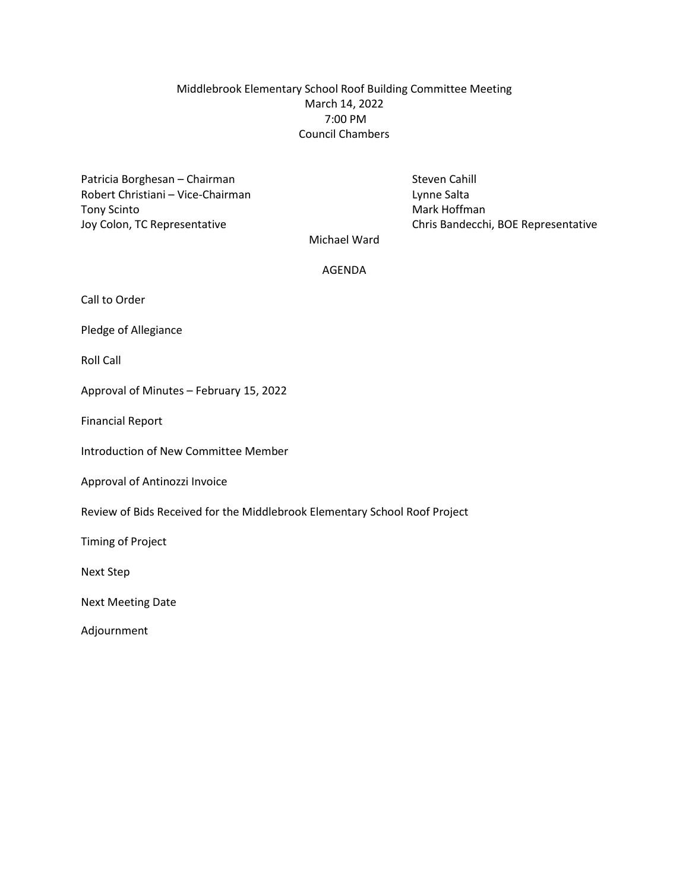## Middlebrook Elementary School Roof Building Committee Meeting March 14, 2022 7:00 PM Council Chambers

Patricia Borghesan – Chairman Steven Cahill Steven Cahill Robert Christiani – Vice-Chairman Lynne Salta Tony Scinto **Mark Hoffman** 

Joy Colon, TC Representative Chris Bandecchi, BOE Representative

Michael Ward

AGENDA

Call to Order

Pledge of Allegiance

Roll Call

Approval of Minutes – February 15, 2022

Financial Report

Introduction of New Committee Member

Approval of Antinozzi Invoice

Review of Bids Received for the Middlebrook Elementary School Roof Project

Timing of Project

Next Step

Next Meeting Date

Adjournment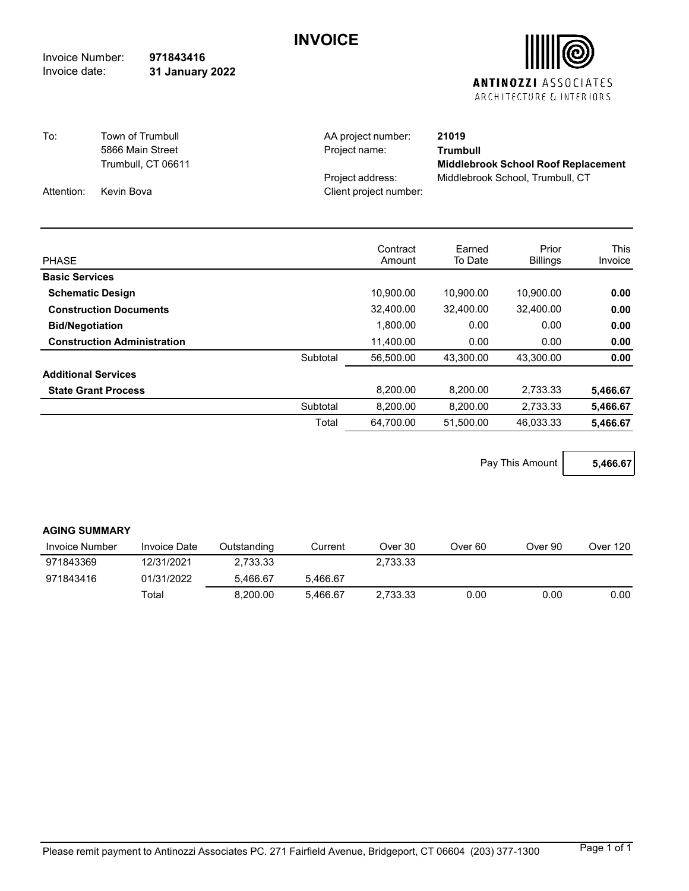## **INVOICE**

Invoice Number: Invoice date: **971843416 31 January 2022**



| To:        | Town of Trumbull   | AA project number:     | 21019                                      |
|------------|--------------------|------------------------|--------------------------------------------|
|            | 5866 Main Street   | Project name:          | <b>Trumbull</b>                            |
|            | Trumbull, CT 06611 |                        | <b>Middlebrook School Roof Replacement</b> |
|            |                    | Project address:       | Middlebrook School, Trumbull, CT           |
| Attention: | Kevin Bova         | Client project number: |                                            |

|                                    |          | Contract  | Earned    | Prior           | <b>This</b> |
|------------------------------------|----------|-----------|-----------|-----------------|-------------|
| <b>PHASE</b>                       |          | Amount    | To Date   | <b>Billings</b> | Invoice     |
| <b>Basic Services</b>              |          |           |           |                 |             |
| <b>Schematic Design</b>            |          | 10,900.00 | 10.900.00 | 10,900.00       | 0.00        |
| <b>Construction Documents</b>      |          | 32.400.00 | 32.400.00 | 32.400.00       | 0.00        |
| <b>Bid/Negotiation</b>             |          | 1.800.00  | 0.00      | 0.00            | 0.00        |
| <b>Construction Administration</b> |          | 11,400.00 | 0.00      | 0.00            | 0.00        |
|                                    | Subtotal | 56,500.00 | 43.300.00 | 43.300.00       | 0.00        |
| <b>Additional Services</b>         |          |           |           |                 |             |
| <b>State Grant Process</b>         |          | 8.200.00  | 8.200.00  | 2.733.33        | 5,466.67    |
|                                    | Subtotal | 8.200.00  | 8.200.00  | 2,733.33        | 5,466.67    |
|                                    | Total    | 64.700.00 | 51.500.00 | 46.033.33       | 5,466.67    |

Pay This Amount **5,466.67**

## **AGING SUMMARY**

| Invoice Number | <b>Invoice Date</b> | Outstanding | Current  | Over 30  | Over 60 | Over 90 | Over 120 |
|----------------|---------------------|-------------|----------|----------|---------|---------|----------|
| 971843369      | 12/31/2021          | 2.733.33    |          | 2.733.33 |         |         |          |
| 971843416      | 01/31/2022          | 5.466.67    | 5.466.67 |          |         |         |          |
|                | Total               | 8.200.00    | 5.466.67 | 2.733.33 | 0.00    | 0.00    | 0.00     |